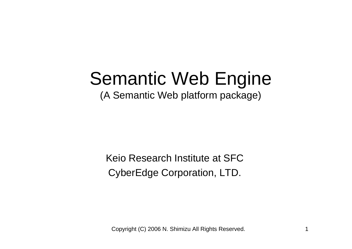# Semantic Web Engine

(A Semantic Web platform package)

Keio Research Institute at SFCCyberEdge Corporation, LTD.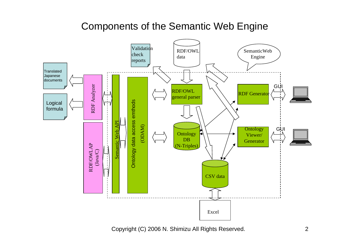## Components of the Semantic Web Engine

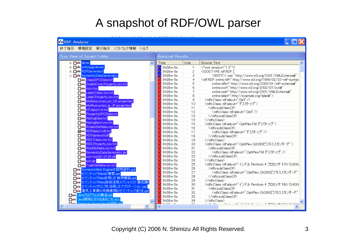# A snapshot of RDF/OWL parser

| <b>No RDF</b> Analyzer                       |                            |                |                                                                                                                                                                                                                                                                                                                      |  |
|----------------------------------------------|----------------------------|----------------|----------------------------------------------------------------------------------------------------------------------------------------------------------------------------------------------------------------------------------------------------------------------------------------------------------------------|--|
| 終了指示:環境設定。<br>- 実行指示 - ソフトウェア情報 - ヘルプ        |                            |                |                                                                                                                                                                                                                                                                                                                      |  |
| <b>Tree View of Target Folder</b>            | <b>Analyzed Results</b>    |                |                                                                                                                                                                                                                                                                                                                      |  |
| <b>E</b> Des de mo                           | Time                       | Line           | Source Text                                                                                                                                                                                                                                                                                                          |  |
| <b>E-De®</b> ontologyviewer                  | <mark>ซึ่ง</mark> 9h38m 6s | $\mathbf{1}$   | xml version="1.0"?                                                                                                                                                                                                                                                                                                   |  |
| <b>E-De®</b> RDFGenerator                    | <mark>‰</mark> 9h38m 6s    | $\overline{2}$ | rdf:RDF [</th                                                                                                                                                                                                                                                                                                        |  |
| □ De SemanticDataGenerator                   | <mark>‱</mark> 9h38m 6s    | 3              | ENTITY xsd "http://www.w3.org/2001/XMLSchema#"</th                                                                                                                                                                                                                                                                   |  |
| i <mark>⊟e®</mark> ClassSPOData.txt          | <mark>%</mark> 9h38m 6s    | 4              | <rdf:rdf 01="" 2000="" http:="" rdf-schema#"<="" th="" www.w3.org="" xmlns:rdf="http://www.w3.org/1999/02/22-rdf-syntax&lt;/th&gt;&lt;/tr&gt;&lt;tr&gt;&lt;th&gt;DublinCore.Property.csv.txt&lt;/th&gt;&lt;th&gt;&lt;sup&gt;%&lt;/sup&gt; 9h38m 6s&lt;/th&gt;&lt;th&gt;5&lt;/th&gt;&lt;th&gt;xmlns:rdfs="></rdf:rdf> |  |
| - <mark>De icon.ico</mark>                   | <mark>ೋ</mark> 9h38m 6s    | 6              | xmlns:owl="http://www.w3.org/2002/07/owl#"                                                                                                                                                                                                                                                                           |  |
| De Label.Class.csv.txt                       | <mark>‰</mark> 9h38m 6s    | 7              | xmlns:xsd="http://www.w3.org/2001/XMLSchema#"                                                                                                                                                                                                                                                                        |  |
| De Label Property.csv.txt                    | <mark>‰</mark> 9h38m 6s    | 8              | xmins:labei="http://example.org/labei#">                                                                                                                                                                                                                                                                             |  |
| MyResources_en_US.properties                 | <mark>‰</mark> 9h38m 6s    | 9              |                                                                                                                                                                                                                                                                                                                      |  |
| MyResources_ja_JP.properties                 | <mark>ೋ</mark> 9h38m 6s    | 10             | 〈rdfs:Class_rdf:about="デスクトップ"〉                                                                                                                                                                                                                                                                                      |  |
| MTdata.0.nt.txt                              | <mark>‰</mark> 9h38m 6s    | 11             | <rdfs:subclassof></rdfs:subclassof>                                                                                                                                                                                                                                                                                  |  |
| PropertySPOData.txt                          | <mark>ೋ</mark> 9h38m6s     | 12             | <rdfs:class_rdf:about="dell"></rdfs:class_rdf:about="dell">                                                                                                                                                                                                                                                          |  |
|                                              | <mark>ೋ</mark> 9h38m 6s    | 13             |                                                                                                                                                                                                                                                                                                                      |  |
| - <mark>De®</mark> RatingData.txt            | <mark>药</mark> 9h38m 6s    | 14             |                                                                                                                                                                                                                                                                                                                      |  |
| <b>Do RatingItem.csv.txt</b>                 | <mark>‰</mark> 9h38m 6s    | 15             | <rdfs:class rdf:about="OptiPlexTM デスクトップ"></rdfs:class>                                                                                                                                                                                                                                                              |  |
| RolassDefdata.csv.txt                        | <mark>‰</mark> 9h38m 6s    | 16             | <rdfs:subclassof></rdfs:subclassof>                                                                                                                                                                                                                                                                                  |  |
| Mo® RDFdata.0.rdf.txt                        | <mark>%</mark> 9h38m 6s    | 17             | <rdfs:class rdf:about="デスクトップ"></rdfs:class>                                                                                                                                                                                                                                                                         |  |
| De RDFparserjni.dll                          | <mark>ೋ</mark> 9h38m 6s    | 18             |                                                                                                                                                                                                                                                                                                                      |  |
| O'o RSS.Class.csv.txt                        | <mark>‰</mark> 9h38m 6s    | 19             |                                                                                                                                                                                                                                                                                                                      |  |
| <b>Des</b> RSS.Property.csv.txt              | <mark>ೋ</mark> 9h38m6s     | 20             | 〈rdfs:Class_rdf:about=" OptiPlex GX280ビジネススタンダード">                                                                                                                                                                                                                                                                   |  |
| ·□●● RstdDefdata.csv.txt                     | <mark>‰</mark> 9h38m 6s    | 21             | <rdfs:subclassof></rdfs:subclassof>                                                                                                                                                                                                                                                                                  |  |
| · De <sup>s</sup> SemanticDataGenerator.jar  | <mark>ೋ</mark> 9h38m 6s    | 22             | <rdfs:class_rdf:about="optiplextm デスクトップ"=""></rdfs:class_rdf:about="optiplextm>                                                                                                                                                                                                                                     |  |
| De swt−win32-2135.dll                        | <sup>s</sup> s 9h38m 6s    | 23             |                                                                                                                                                                                                                                                                                                                      |  |
| . <mark>⊒e"e </mark> swt.jar                 | <mark>‰</mark> 9h38m 6s    | 24             |                                                                                                                                                                                                                                                                                                                      |  |
| De Type Defdata.csv.txt                      | <sup>s</sup> s 9h38m 6s    | 25             | <rdfs:class_rdf:about="インテル_pentium (3.80g)<="" 4="" 570="" th="" プロセッサ=""></rdfs:class_rdf:about="インテル_pentium>                                                                                                                                                                                                     |  |
| <mark>■●●</mark> SemanticWeb Engineの説明資料.ppt | <mark>‰</mark> 9h38m 6s    | 26             | <rdfs:subclassof></rdfs:subclassof>                                                                                                                                                                                                                                                                                  |  |
| ■●● セマンティックWebの概要.ppt                        | <mark>‰</mark> 9h38m 6s    | 27             | Krdfs:Classindf:about=" OptiPlex GX280ビジネススタンダード"」                                                                                                                                                                                                                                                                   |  |
| □ <mark>◎ セマンティックWebを用いた検索機能ppt</mark>       | <mark>‰</mark> 9h38m 6s    | 28             |                                                                                                                                                                                                                                                                                                                      |  |
| ·□◎● セマンティックWeb技術活用スペシャリスト養成講』               | <mark>ೋ</mark> 9h38m 6s    | 29             | √/rdfs:Class>                                                                                                                                                                                                                                                                                                        |  |
| -□◎ セマンティックウェブを活用したアプリケーション.ppt              | <mark>ೋ</mark> 9h38m6s     | 30             | <rdfs:class_rdf:about="インテル_pentium (3.60g)<="" 4="" 560="" th="" プロセッサ=""></rdfs:class_rdf:about="インテル_pentium>                                                                                                                                                                                                     |  |
|                                              | <mark>*</mark> s 9h38m 6s  | 31             | <rdfs:subclassof></rdfs:subclassof>                                                                                                                                                                                                                                                                                  |  |
| ·□◎ 電気工事業の申請書類のセマンティック記述.ppt                 | <mark>ೋ</mark> 9h38m 6s    | 32             | <rdfs:class_rdf:about="optiplex_gx280ビジネススタンダード"」< th=""></rdfs:class_rdf:about="optiplex_gx280ビジネススタンダード"」<>                                                                                                                                                                                                        |  |
| ■●● Javaプログラムの構造.ppt                         | <mark>*</mark> 9h38m 6s    | 33             |                                                                                                                                                                                                                                                                                                                      |  |
| □◎ Java開発におけるあれこれ.doc                        | <mark>药</mark> 9h38m 6s    | 34             |                                                                                                                                                                                                                                                                                                                      |  |
| ≻                                            | 0.00000                    | $\sim$         | $\lambda$ -Reducillation (or $\lambda$ $\sim$<br>$2.10 - 0.1$<br>$10^{11} - 1$<br>ユニザ アベルコ せいけいしゃく                                                                                                                                                                                                                   |  |
|                                              |                            |                |                                                                                                                                                                                                                                                                                                                      |  |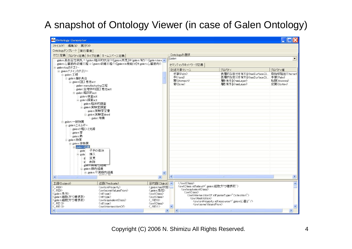# A snapshot of Ontology Viewer (in case of Galen Ontology)

| <b>Pe</b> Ontology Generator                                     |                                                 |                                                     |        |                                                                      |                                                            |                       |  |  |
|------------------------------------------------------------------|-------------------------------------------------|-----------------------------------------------------|--------|----------------------------------------------------------------------|------------------------------------------------------------|-----------------------|--|--|
| ファイル(F) 編集(E) 実行(R)                                              |                                                 |                                                     |        |                                                                      |                                                            |                       |  |  |
| Ontologyテンプレート 実行環境                                              |                                                 |                                                     |        |                                                                      |                                                            |                       |  |  |
| クラス定義 プロパティ定義 タイプ定義 ネームスペース定義                                    |                                                 |                                                     |        | Ontologyの選択                                                          |                                                            |                       |  |  |
| galen:高血圧性病気 = (galen:臨床的状況∩([galen:所見]曰(galen:有り∩([galen:isex ^ |                                                 |                                                     |        | Galen<br>$\blacktriangledown$                                        |                                                            |                       |  |  |
| galen:心臓筋肉収縮工程=(galen:収縮工程∩([galen:is機能Of]ヨgalen:心臓筋肉))          |                                                 |                                                     |        | セマンティックネットワーク定義                                                      |                                                            |                       |  |  |
| ≒ galen:topカテゴリー<br>白 galen:ドメインカテゴリー                            |                                                 |                                                     |        | 記述対象リソース                                                             | プロパティ                                                      | プロパティ値                |  |  |
| 白 galen:工程                                                       |                                                 |                                                     |        | 手掌(Palm)                                                             | 表層的な部分を有する(hasSurfaceDi                                    | 母指球隆起(Thenarl         |  |  |
| 白 galen:働き具合                                                     |                                                 |                                                     |        | #(Hand)                                                              | 表層的な部分を有する(hasSurfaceDi 手掌(Palm)                           |                       |  |  |
| 白 galen:[医] 意志act                                                |                                                 |                                                     |        | 冒(Stomach)                                                           | 層を有する(hasLayer)                                            | 粘膜(Mucosa)            |  |  |
| galen:manufacturing工程                                            |                                                 |                                                     |        | 骨(Bone)                                                              | 層を有する(hasLaver)                                            | 皮質(Cortex)            |  |  |
| galen:生理学的[医] 意志act                                              |                                                 |                                                     |        |                                                                      |                                                            |                       |  |  |
| 白 galen:臨床的act                                                   |                                                 |                                                     |        |                                                                      |                                                            |                       |  |  |
| galen:検査act                                                      |                                                 |                                                     |        |                                                                      |                                                            |                       |  |  |
| 中 galen:調査act                                                    |                                                 |                                                     |        |                                                                      |                                                            |                       |  |  |
| galen:臨床的調査                                                      |                                                 |                                                     |        |                                                                      |                                                            |                       |  |  |
| 白 galen:実験室調査                                                    |                                                 |                                                     |        |                                                                      |                                                            |                       |  |  |
|                                                                  | galen:実験室定量                                     |                                                     |        |                                                                      |                                                            |                       |  |  |
|                                                                  | 白 galen:実験室deed                                 |                                                     |        |                                                                      |                                                            |                       |  |  |
|                                                                  | └ galen:培養                                      |                                                     |        |                                                                      |                                                            |                       |  |  |
| 白 galen:一般物質<br>白-galen:エネルギー                                    |                                                 |                                                     |        |                                                                      |                                                            |                       |  |  |
| galen:1 軽い 2 光線                                                  |                                                 |                                                     |        |                                                                      |                                                            |                       |  |  |
| galen:音                                                          |                                                 |                                                     |        |                                                                      |                                                            |                       |  |  |
| galen:熱                                                          |                                                 |                                                     |        |                                                                      |                                                            |                       |  |  |
| 白 galen:物質                                                       |                                                 |                                                     |        |                                                                      |                                                            |                       |  |  |
| 白 galen:体物質                                                      |                                                 |                                                     |        |                                                                      |                                                            |                       |  |  |
| 中 gale n:組織                                                      |                                                 |                                                     |        |                                                                      |                                                            |                       |  |  |
| gale                                                             | 子供の追加                                           |                                                     |        |                                                                      |                                                            |                       |  |  |
| 挿入<br>$E$ -gale                                                  |                                                 |                                                     |        |                                                                      |                                                            |                       |  |  |
| 変更<br>g                                                          |                                                 |                                                     |        |                                                                      |                                                            |                       |  |  |
| 削除<br>g                                                          |                                                 |                                                     |        |                                                                      |                                                            |                       |  |  |
| galen: 粉推生粗織                                                     |                                                 |                                                     |        |                                                                      |                                                            |                       |  |  |
| 白 galen:筋肉組織                                                     |                                                 |                                                     |        |                                                                      |                                                            |                       |  |  |
|                                                                  | 白 galen:平滑筋肉組織                                  | $\mathbf{v}$                                        |        |                                                                      |                                                            |                       |  |  |
| K.                                                               |                                                 | $\rightarrow$                                       |        |                                                                      | m)                                                         | $\rightarrow$         |  |  |
| 主語(Subject)                                                      | 述語(Predicate)                                   | 目的語(Object) へ                                       |        |                                                                      |                                                            | $\boldsymbol{\wedge}$ |  |  |
| <:RE9>                                                           | <owl:onproperty></owl:onproperty>               | 〈galen:has状態〉                                       |        | <owl:class rdf:about="galen:細胞ブドウ糖摂取"></owl:class>                   |                                                            |                       |  |  |
| $\langle \text{RBS} \rangle$                                     | <owl:somevaluesfrom></owl:somevaluesfrom>       | 〈galen:急性〉                                          |        | <owl:e quivalentclass=""><br/><owl:class></owl:class></owl:e>        |                                                            |                       |  |  |
| 〈galen:急性〉<br>〈galen:細胞ブドウ糖摂取〉                                   | <rdf:tvpe><br/><rdf:type></rdf:type></rdf:tvpe> | <owl:class><br/><owl:class></owl:class></owl:class> |        | <owl:intersectionof rdf:parsetype="Collection"></owl:intersectionof> |                                                            |                       |  |  |
| <galen:細胞ブドウ糖摂取></galen:細胞ブドウ糖摂取>                                | <owl:equivalentclass></owl:equivalentclass>     | $\langle$ :RE10 $\rangle$                           |        | <owl:restriction></owl:restriction>                                  |                                                            |                       |  |  |
| $\langle$ :RE10 $\rangle$                                        | <rdf:type></rdf:type>                           | <owl:class></owl:class>                             |        | <owl:somevaluesfrom></owl:somevaluesfrom>                            | <owl:onproperty rdf:resource="galen:に運ぶ"></owl:onproperty> |                       |  |  |
| $\langle$ :RE10>                                                 | <owl:intersectionof></owl:intersectionof>       | $\langle$ :RE11>                                    |        |                                                                      |                                                            |                       |  |  |
| $\prec$                                                          | THE                                             |                                                     | $\geq$ |                                                                      | <b>HIL</b>                                                 | $\rightarrow$         |  |  |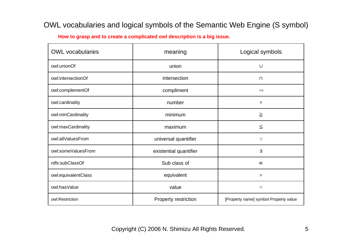#### OWL vocabularies and logical symbols of the Semantic Web Engine (S symbol)

**How to grasp and to create a complicated owl description is a big issue.**

| <b>OWL</b> vocabularies | meaning                | Logical symbols                       |  |
|-------------------------|------------------------|---------------------------------------|--|
| owl:unionOf             | union                  | U                                     |  |
| owl:intersectionOf      | intersection           | $\cap$                                |  |
| owl:complementOf        | compliment             | ᆨ                                     |  |
| owl:cardinality         | number                 | =                                     |  |
| owl:minCardinality      | minimum                | $\geq$                                |  |
| owl:maxCardinality      | maximum                | $\leqq$                               |  |
| owl:allValuesFrom       | universal quantifier   | $\forall$                             |  |
| owl:someValuesFrom      | existential quantifier | Ε                                     |  |
| rdfs:subClassOf         | Sub class of           | $\in$                                 |  |
| owl:equivalentClass     | equivalent             | $=$                                   |  |
| owl:hasValue            | value                  | $\equiv$                              |  |
| owl:Restriction         | Property restriction   | [Property name] symbol Property value |  |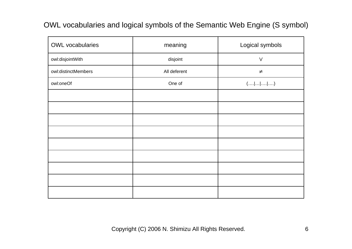#### OWL vocabularies and logical symbols of the Semantic Web Engine (S symbol)

| <b>OWL</b> vocabularies | meaning      | Logical symbols                            |
|-------------------------|--------------|--------------------------------------------|
| owl:disjointWith        | disjoint     | $\vee$                                     |
| owl:distinctMembers     | All deferent | $\neq$                                     |
| owl:oneOf               | One of       | $(\ldots  \ldots  \ldots  \ldots  \ldots)$ |
|                         |              |                                            |
|                         |              |                                            |
|                         |              |                                            |
|                         |              |                                            |
|                         |              |                                            |
|                         |              |                                            |
|                         |              |                                            |
|                         |              |                                            |
|                         |              |                                            |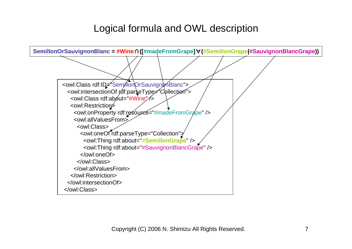## Logical formula and OWL description